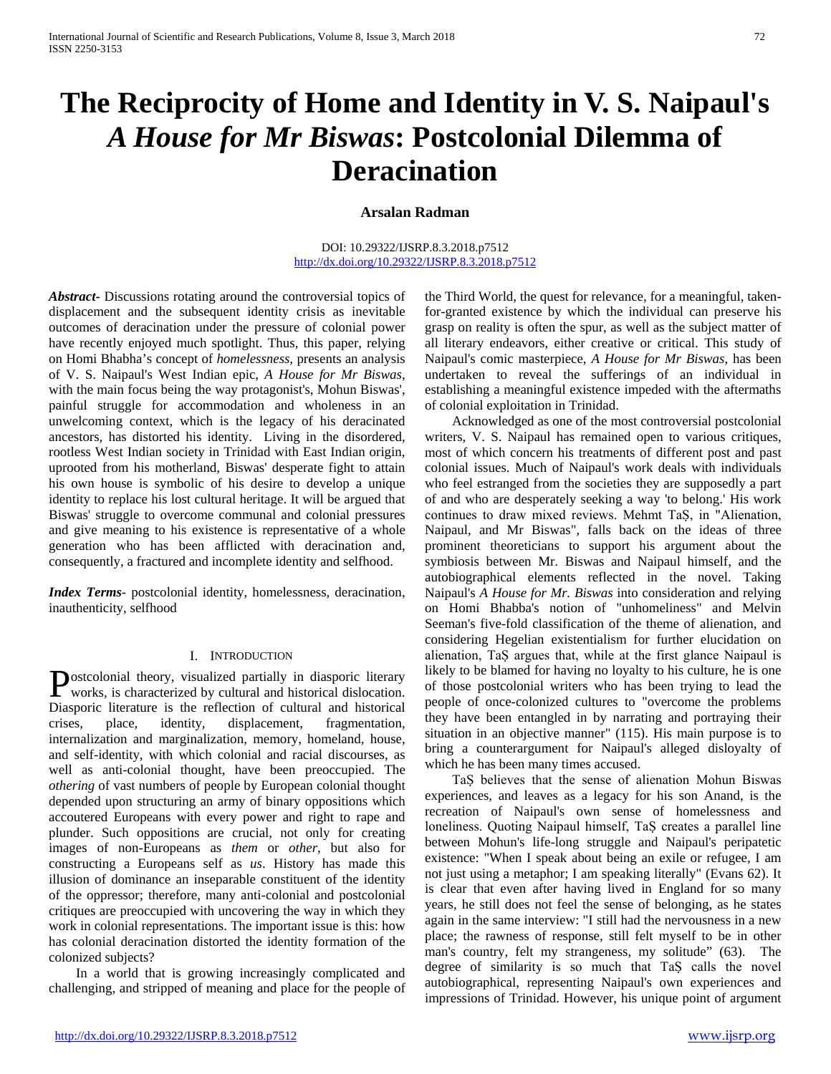# **The Reciprocity of Home and Identity in V. S. Naipaul's**  *A House for Mr Biswas***: Postcolonial Dilemma of Deracination**

# **Arsalan Radman**

#### DOI: 10.29322/IJSRP.8.3.2018.p7512 <http://dx.doi.org/10.29322/IJSRP.8.3.2018.p7512>

*Abstract***-** Discussions rotating around the controversial topics of displacement and the subsequent identity crisis as inevitable outcomes of deracination under the pressure of colonial power have recently enjoyed much spotlight. Thus, this paper, relying on Homi Bhabha's concept of *homelessness,* presents an analysis of V. S. Naipaul's West Indian epic, *A House for Mr Biswas*, with the main focus being the way protagonist's, Mohun Biswas', painful struggle for accommodation and wholeness in an unwelcoming context, which is the legacy of his deracinated ancestors, has distorted his identity. Living in the disordered, rootless West Indian society in Trinidad with East Indian origin, uprooted from his motherland, Biswas' desperate fight to attain his own house is symbolic of his desire to develop a unique identity to replace his lost cultural heritage. It will be argued that Biswas' struggle to overcome communal and colonial pressures and give meaning to his existence is representative of a whole generation who has been afflicted with deracination and, consequently, a fractured and incomplete identity and selfhood.

*Index Terms*- postcolonial identity, homelessness, deracination, inauthenticity, selfhood

#### I. INTRODUCTION

ostcolonial theory, visualized partially in diasporic literary **P**ostcolonial theory, visualized partially in diasporic literary works, is characterized by cultural and historical dislocation. Diasporic literature is the reflection of cultural and historical crises, place, identity, displacement, fragmentation, internalization and marginalization, memory, homeland, house, and self-identity, with which colonial and racial discourses, as well as anti-colonial thought, have been preoccupied. The *othering* of vast numbers of people by European colonial thought depended upon structuring an army of binary oppositions which accoutered Europeans with every power and right to rape and plunder. Such oppositions are crucial, not only for creating images of non-Europeans as *them* or *other*, but also for constructing a Europeans self as *us*. History has made this illusion of dominance an inseparable constituent of the identity of the oppressor; therefore, many anti-colonial and postcolonial critiques are preoccupied with uncovering the way in which they work in colonial representations. The important issue is this: how has colonial deracination distorted the identity formation of the colonized subjects?

 In a world that is growing increasingly complicated and challenging, and stripped of meaning and place for the people of the Third World, the quest for relevance, for a meaningful, takenfor-granted existence by which the individual can preserve his grasp on reality is often the spur, as well as the subject matter of all literary endeavors, either creative or critical. This study of Naipaul's comic masterpiece, *A House for Mr Biswas*, has been undertaken to reveal the sufferings of an individual in establishing a meaningful existence impeded with the aftermaths of colonial exploitation in Trinidad.

 Acknowledged as one of the most controversial postcolonial writers, V. S. Naipaul has remained open to various critiques, most of which concern his treatments of different post and past colonial issues. Much of Naipaul's work deals with individuals who feel estranged from the societies they are supposedly a part of and who are desperately seeking a way 'to belong.' His work continues to draw mixed reviews. Mehmt TaṢ, in "Alienation, Naipaul, and Mr Biswas", falls back on the ideas of three prominent theoreticians to support his argument about the symbiosis between Mr. Biswas and Naipaul himself, and the autobiographical elements reflected in the novel. Taking Naipaul's *A House for Mr. Biswas* into consideration and relying on Homi Bhabba's notion of "unhomeliness" and Melvin Seeman's five-fold classification of the theme of alienation, and considering Hegelian existentialism for further elucidation on alienation, TaṢ argues that, while at the first glance Naipaul is likely to be blamed for having no loyalty to his culture, he is one of those postcolonial writers who has been trying to lead the people of once-colonized cultures to "overcome the problems they have been entangled in by narrating and portraying their situation in an objective manner" (115). His main purpose is to bring a counterargument for Naipaul's alleged disloyalty of which he has been many times accused.

 TaṢ believes that the sense of alienation Mohun Biswas experiences, and leaves as a legacy for his son Anand, is the recreation of Naipaul's own sense of homelessness and loneliness. Quoting Naipaul himself, TaṢ creates a parallel line between Mohun's life-long struggle and Naipaul's peripatetic existence: "When I speak about being an exile or refugee, I am not just using a metaphor; I am speaking literally" (Evans 62). It is clear that even after having lived in England for so many years, he still does not feel the sense of belonging, as he states again in the same interview: "I still had the nervousness in a new place; the rawness of response, still felt myself to be in other man's country, felt my strangeness, my solitude" (63). The degree of similarity is so much that TaS calls the novel autobiographical, representing Naipaul's own experiences and impressions of Trinidad. However, his unique point of argument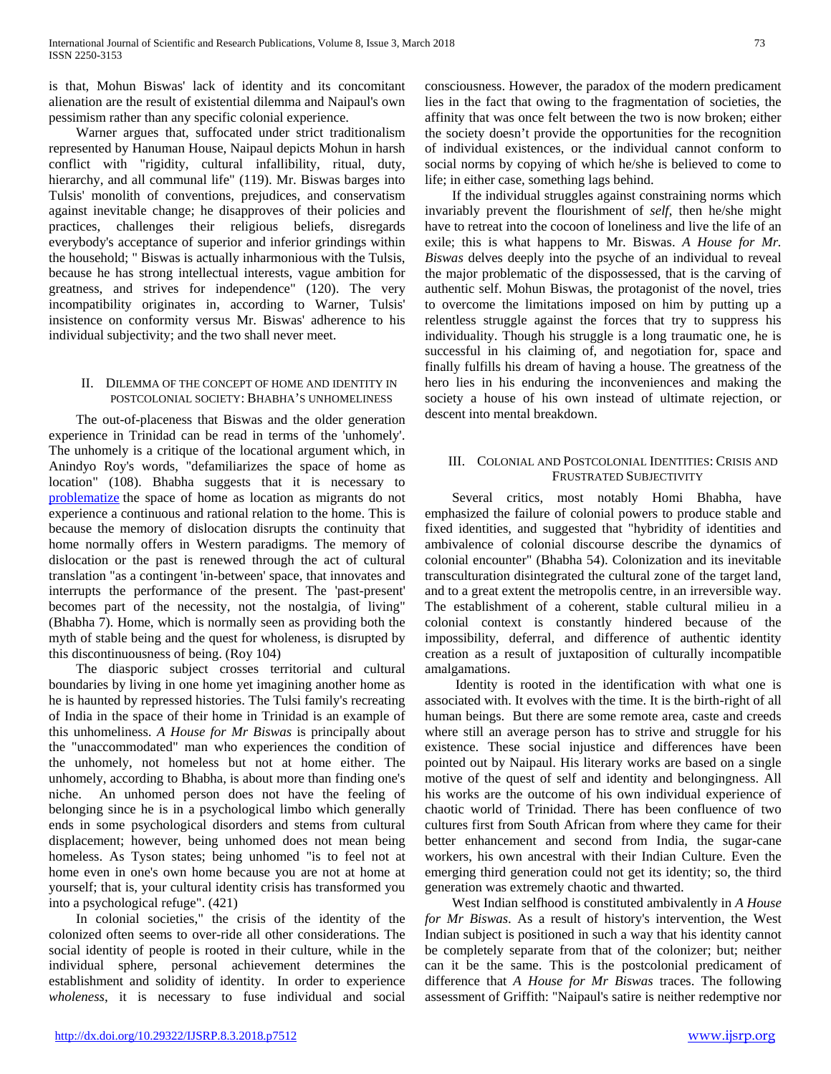is that, Mohun Biswas' lack of identity and its concomitant alienation are the result of existential dilemma and Naipaul's own pessimism rather than any specific colonial experience.

 Warner argues that, suffocated under strict traditionalism represented by Hanuman House, Naipaul depicts Mohun in harsh conflict with "rigidity, cultural infallibility, ritual, duty, hierarchy, and all communal life" (119). Mr. Biswas barges into Tulsis' monolith of conventions, prejudices, and conservatism against inevitable change; he disapproves of their policies and practices, challenges their religious beliefs, disregards everybody's acceptance of superior and inferior grindings within the household; " Biswas is actually inharmonious with the Tulsis, because he has strong intellectual interests, vague ambition for greatness, and strives for independence" (120). The very incompatibility originates in, according to Warner, Tulsis' insistence on conformity versus Mr. Biswas' adherence to his individual subjectivity; and the two shall never meet.

#### II. DILEMMA OF THE CONCEPT OF HOME AND IDENTITY IN POSTCOLONIAL SOCIETY: BHABHA'S UNHOMELINESS

 The out-of-placeness that Biswas and the older generation experience in Trinidad can be read in terms of the 'unhomely'. The unhomely is a critique of the locational argument which, in Anindyo Roy's words, "defamiliarizes the space of home as location" (108). Bhabha suggests that it is necessary to [problematize](http://www.thefreedictionary.com/Problematize) the space of home as location as migrants do not experience a continuous and rational relation to the home. This is because the memory of dislocation disrupts the continuity that home normally offers in Western paradigms. The memory of dislocation or the past is renewed through the act of cultural translation "as a contingent 'in-between' space, that innovates and interrupts the performance of the present. The 'past-present' becomes part of the necessity, not the nostalgia, of living" (Bhabha 7). Home, which is normally seen as providing both the myth of stable being and the quest for wholeness, is disrupted by this discontinuousness of being. (Roy 104)

 The diasporic subject crosses territorial and cultural boundaries by living in one home yet imagining another home as he is haunted by repressed histories. The Tulsi family's recreating of India in the space of their home in Trinidad is an example of this unhomeliness. *A House for Mr Biswas* is principally about the "unaccommodated" man who experiences the condition of the unhomely, not homeless but not at home either. The unhomely, according to Bhabha, is about more than finding one's niche. An unhomed person does not have the feeling of belonging since he is in a psychological limbo which generally ends in some psychological disorders and stems from cultural displacement; however, being unhomed does not mean being homeless. As Tyson states; being unhomed "is to feel not at home even in one's own home because you are not at home at yourself; that is, your cultural identity crisis has transformed you into a psychological refuge". (421)

 In colonial societies," the crisis of the identity of the colonized often seems to over-ride all other considerations. The social identity of people is rooted in their culture, while in the individual sphere, personal achievement determines the establishment and solidity of identity. In order to experience *wholeness*, it is necessary to fuse individual and social

consciousness. However, the paradox of the modern predicament lies in the fact that owing to the fragmentation of societies, the affinity that was once felt between the two is now broken; either the society doesn't provide the opportunities for the recognition of individual existences, or the individual cannot conform to social norms by copying of which he/she is believed to come to life; in either case, something lags behind.

 If the individual struggles against constraining norms which invariably prevent the flourishment of *self*, then he/she might have to retreat into the cocoon of loneliness and live the life of an exile; this is what happens to Mr. Biswas. *A House for Mr. Biswas* delves deeply into the psyche of an individual to reveal the major problematic of the dispossessed, that is the carving of authentic self. Mohun Biswas, the protagonist of the novel, tries to overcome the limitations imposed on him by putting up a relentless struggle against the forces that try to suppress his individuality. Though his struggle is a long traumatic one, he is successful in his claiming of, and negotiation for, space and finally fulfills his dream of having a house. The greatness of the hero lies in his enduring the inconveniences and making the society a house of his own instead of ultimate rejection, or descent into mental breakdown.

## III. COLONIAL AND POSTCOLONIAL IDENTITIES: CRISIS AND FRUSTRATED SUBJECTIVITY

 Several critics, most notably Homi Bhabha, have emphasized the failure of colonial powers to produce stable and fixed identities, and suggested that "hybridity of identities and ambivalence of colonial discourse describe the dynamics of colonial encounter" (Bhabha 54). Colonization and its inevitable transculturation disintegrated the cultural zone of the target land, and to a great extent the metropolis centre, in an irreversible way. The establishment of a coherent, stable cultural milieu in a colonial context is constantly hindered because of the impossibility, deferral, and difference of authentic identity creation as a result of juxtaposition of culturally incompatible amalgamations.

 Identity is rooted in the identification with what one is associated with. It evolves with the time. It is the birth-right of all human beings. But there are some remote area, caste and creeds where still an average person has to strive and struggle for his existence. These social injustice and differences have been pointed out by Naipaul. His literary works are based on a single motive of the quest of self and identity and belongingness. All his works are the outcome of his own individual experience of chaotic world of Trinidad. There has been confluence of two cultures first from South African from where they came for their better enhancement and second from India, the sugar-cane workers, his own ancestral with their Indian Culture. Even the emerging third generation could not get its identity; so, the third generation was extremely chaotic and thwarted.

 West Indian selfhood is constituted ambivalently in *A House for Mr Biswas*. As a result of history's intervention, the West Indian subject is positioned in such a way that his identity cannot be completely separate from that of the colonizer; but; neither can it be the same. This is the postcolonial predicament of difference that *A House for Mr Biswas* traces. The following assessment of Griffith: "Naipaul's satire is neither redemptive nor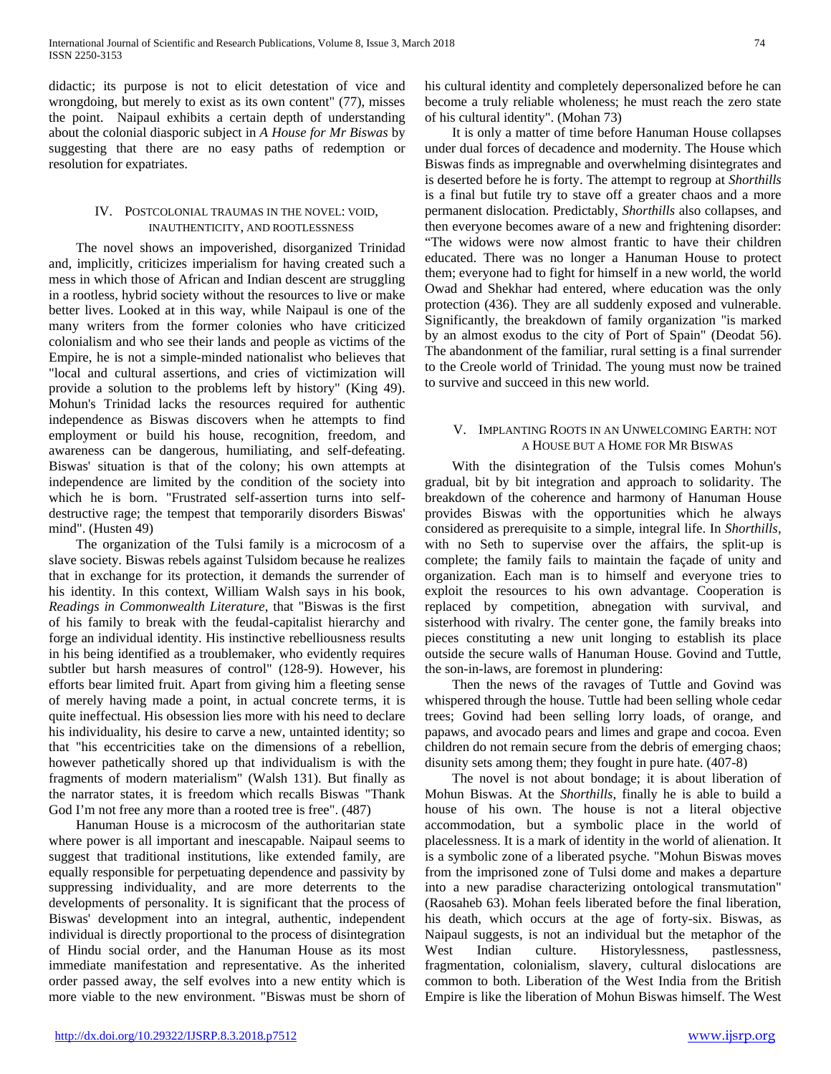didactic; its purpose is not to elicit detestation of vice and wrongdoing, but merely to exist as its own content" (77), misses the point. Naipaul exhibits a certain depth of understanding about the colonial diasporic subject in *A House for Mr Biswas* by suggesting that there are no easy paths of redemption or resolution for expatriates.

## IV. POSTCOLONIAL TRAUMAS IN THE NOVEL: VOID, INAUTHENTICITY, AND ROOTLESSNESS

 The novel shows an impoverished, disorganized Trinidad and, implicitly, criticizes imperialism for having created such a mess in which those of African and Indian descent are struggling in a rootless, hybrid society without the resources to live or make better lives. Looked at in this way, while Naipaul is one of the many writers from the former colonies who have criticized colonialism and who see their lands and people as victims of the Empire, he is not a simple-minded nationalist who believes that "local and cultural assertions, and cries of victimization will provide a solution to the problems left by history" (King 49). Mohun's Trinidad lacks the resources required for authentic independence as Biswas discovers when he attempts to find employment or build his house, recognition, freedom, and awareness can be dangerous, humiliating, and self-defeating. Biswas' situation is that of the colony; his own attempts at independence are limited by the condition of the society into which he is born. "Frustrated self-assertion turns into selfdestructive rage; the tempest that temporarily disorders Biswas' mind". (Husten 49)

 The organization of the Tulsi family is a microcosm of a slave society. Biswas rebels against Tulsidom because he realizes that in exchange for its protection, it demands the surrender of his identity. In this context, William Walsh says in his book, *Readings in Commonwealth Literature*, that "Biswas is the first of his family to break with the feudal-capitalist hierarchy and forge an individual identity. His instinctive rebelliousness results in his being identified as a troublemaker, who evidently requires subtler but harsh measures of control" (128-9). However, his efforts bear limited fruit. Apart from giving him a fleeting sense of merely having made a point, in actual concrete terms, it is quite ineffectual. His obsession lies more with his need to declare his individuality, his desire to carve a new, untainted identity; so that "his eccentricities take on the dimensions of a rebellion, however pathetically shored up that individualism is with the fragments of modern materialism" (Walsh 131). But finally as the narrator states, it is freedom which recalls Biswas "Thank God I'm not free any more than a rooted tree is free".  $(487)$ 

 Hanuman House is a microcosm of the authoritarian state where power is all important and inescapable. Naipaul seems to suggest that traditional institutions, like extended family, are equally responsible for perpetuating dependence and passivity by suppressing individuality, and are more deterrents to the developments of personality. It is significant that the process of Biswas' development into an integral, authentic, independent individual is directly proportional to the process of disintegration of Hindu social order, and the Hanuman House as its most immediate manifestation and representative. As the inherited order passed away, the self evolves into a new entity which is more viable to the new environment. "Biswas must be shorn of his cultural identity and completely depersonalized before he can become a truly reliable wholeness; he must reach the zero state of his cultural identity". (Mohan 73)

 It is only a matter of time before Hanuman House collapses under dual forces of decadence and modernity. The House which Biswas finds as impregnable and overwhelming disintegrates and is deserted before he is forty. The attempt to regroup at *Shorthills* is a final but futile try to stave off a greater chaos and a more permanent dislocation. Predictably, *Shorthills* also collapses, and then everyone becomes aware of a new and frightening disorder: "The widows were now almost frantic to have their children educated. There was no longer a Hanuman House to protect them; everyone had to fight for himself in a new world, the world Owad and Shekhar had entered, where education was the only protection (436). They are all suddenly exposed and vulnerable. Significantly, the breakdown of family organization "is marked by an almost exodus to the city of Port of Spain" (Deodat 56). The abandonment of the familiar, rural setting is a final surrender to the Creole world of Trinidad. The young must now be trained to survive and succeed in this new world.

## V. IMPLANTING ROOTS IN AN UNWELCOMING EARTH: NOT A HOUSE BUT A HOME FOR MR BISWAS

 With the disintegration of the Tulsis comes Mohun's gradual, bit by bit integration and approach to solidarity. The breakdown of the coherence and harmony of Hanuman House provides Biswas with the opportunities which he always considered as prerequisite to a simple, integral life. In *Shorthills*, with no Seth to supervise over the affairs, the split-up is complete; the family fails to maintain the façade of unity and organization. Each man is to himself and everyone tries to exploit the resources to his own advantage. Cooperation is replaced by competition, abnegation with survival, and sisterhood with rivalry. The center gone, the family breaks into pieces constituting a new unit longing to establish its place outside the secure walls of Hanuman House. Govind and Tuttle, the son-in-laws, are foremost in plundering:

 Then the news of the ravages of Tuttle and Govind was whispered through the house. Tuttle had been selling whole cedar trees; Govind had been selling lorry loads, of orange, and papaws, and avocado pears and limes and grape and cocoa. Even children do not remain secure from the debris of emerging chaos; disunity sets among them; they fought in pure hate. (407-8)

 The novel is not about bondage; it is about liberation of Mohun Biswas. At the *Shorthills*, finally he is able to build a house of his own. The house is not a literal objective accommodation, but a symbolic place in the world of placelessness. It is a mark of identity in the world of alienation. It is a symbolic zone of a liberated psyche. "Mohun Biswas moves from the imprisoned zone of Tulsi dome and makes a departure into a new paradise characterizing ontological transmutation" (Raosaheb 63). Mohan feels liberated before the final liberation, his death, which occurs at the age of forty-six. Biswas, as Naipaul suggests, is not an individual but the metaphor of the West Indian culture. Historylessness, pastlessness, fragmentation, colonialism, slavery, cultural dislocations are common to both. Liberation of the West India from the British Empire is like the liberation of Mohun Biswas himself. The West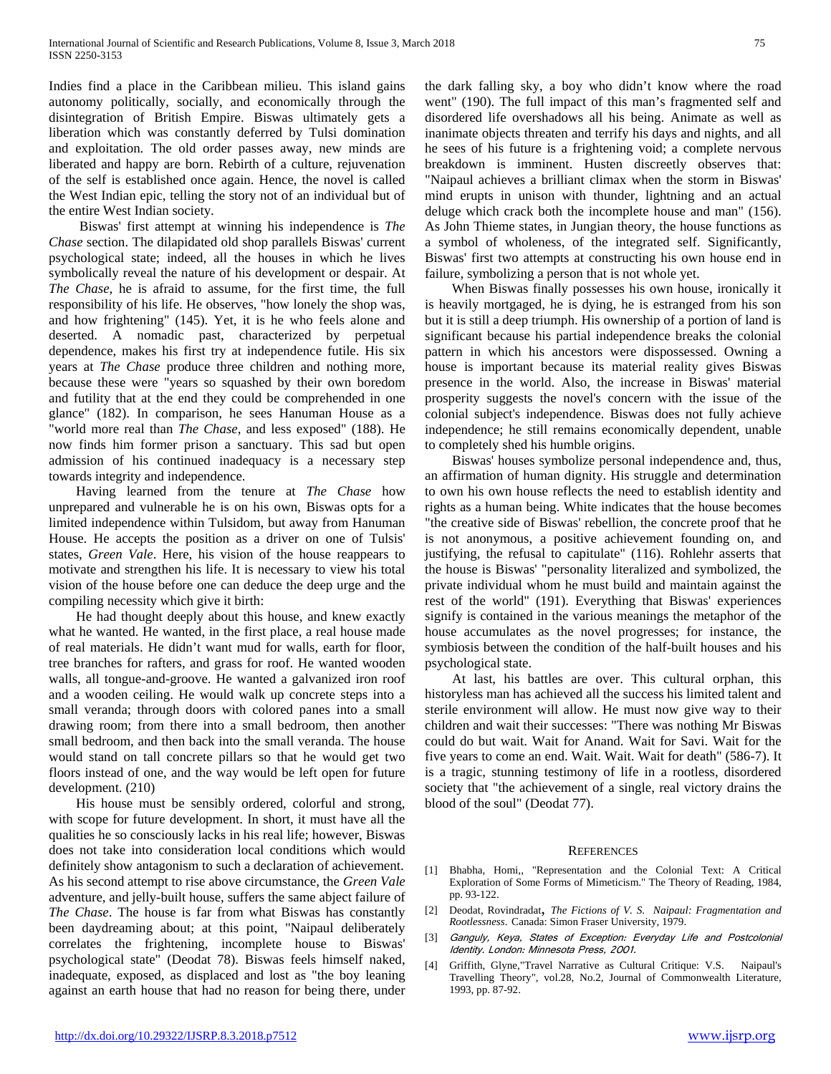Indies find a place in the Caribbean milieu. This island gains autonomy politically, socially, and economically through the disintegration of British Empire. Biswas ultimately gets a liberation which was constantly deferred by Tulsi domination and exploitation. The old order passes away, new minds are liberated and happy are born. Rebirth of a culture, rejuvenation of the self is established once again. Hence, the novel is called the West Indian epic, telling the story not of an individual but of the entire West Indian society.

 Biswas' first attempt at winning his independence is *The Chase* section. The dilapidated old shop parallels Biswas' current psychological state; indeed, all the houses in which he lives symbolically reveal the nature of his development or despair. At *The Chase*, he is afraid to assume, for the first time, the full responsibility of his life. He observes, "how lonely the shop was, and how frightening" (145). Yet, it is he who feels alone and deserted. A nomadic past, characterized by perpetual dependence, makes his first try at independence futile. His six years at *The Chase* produce three children and nothing more, because these were "years so squashed by their own boredom and futility that at the end they could be comprehended in one glance" (182). In comparison, he sees Hanuman House as a "world more real than *The Chase*, and less exposed" (188). He now finds him former prison a sanctuary. This sad but open admission of his continued inadequacy is a necessary step towards integrity and independence.

 Having learned from the tenure at *The Chase* how unprepared and vulnerable he is on his own, Biswas opts for a limited independence within Tulsidom, but away from Hanuman House. He accepts the position as a driver on one of Tulsis' states, *Green Vale*. Here, his vision of the house reappears to motivate and strengthen his life. It is necessary to view his total vision of the house before one can deduce the deep urge and the compiling necessity which give it birth:

 He had thought deeply about this house, and knew exactly what he wanted. He wanted, in the first place, a real house made of real materials. He didn't want mud for walls, earth for floor, tree branches for rafters, and grass for roof. He wanted wooden walls, all tongue-and-groove. He wanted a galvanized iron roof and a wooden ceiling. He would walk up concrete steps into a small veranda; through doors with colored panes into a small drawing room; from there into a small bedroom, then another small bedroom, and then back into the small veranda. The house would stand on tall concrete pillars so that he would get two floors instead of one, and the way would be left open for future development. (210)

 His house must be sensibly ordered, colorful and strong, with scope for future development. In short, it must have all the qualities he so consciously lacks in his real life; however, Biswas does not take into consideration local conditions which would definitely show antagonism to such a declaration of achievement. As his second attempt to rise above circumstance, the *Green Vale* adventure, and jelly-built house, suffers the same abject failure of *The Chase*. The house is far from what Biswas has constantly been daydreaming about; at this point, "Naipaul deliberately correlates the frightening, incomplete house to Biswas' psychological state" (Deodat 78). Biswas feels himself naked, inadequate, exposed, as displaced and lost as "the boy leaning against an earth house that had no reason for being there, under

the dark falling sky, a boy who didn't know where the road went" (190). The full impact of this man's fragmented self and disordered life overshadows all his being. Animate as well as inanimate objects threaten and terrify his days and nights, and all he sees of his future is a frightening void; a complete nervous breakdown is imminent. Husten discreetly observes that: "Naipaul achieves a brilliant climax when the storm in Biswas' mind erupts in unison with thunder, lightning and an actual deluge which crack both the incomplete house and man" (156). As John Thieme states, in Jungian theory, the house functions as a symbol of wholeness, of the integrated self. Significantly, Biswas' first two attempts at constructing his own house end in failure, symbolizing a person that is not whole yet.

 When Biswas finally possesses his own house, ironically it is heavily mortgaged, he is dying, he is estranged from his son but it is still a deep triumph. His ownership of a portion of land is significant because his partial independence breaks the colonial pattern in which his ancestors were dispossessed. Owning a house is important because its material reality gives Biswas presence in the world. Also, the increase in Biswas' material prosperity suggests the novel's concern with the issue of the colonial subject's independence. Biswas does not fully achieve independence; he still remains economically dependent, unable to completely shed his humble origins.

 Biswas' houses symbolize personal independence and, thus, an affirmation of human dignity. His struggle and determination to own his own house reflects the need to establish identity and rights as a human being. White indicates that the house becomes "the creative side of Biswas' rebellion, the concrete proof that he is not anonymous, a positive achievement founding on, and justifying, the refusal to capitulate" (116). Rohlehr asserts that the house is Biswas' "personality literalized and symbolized, the private individual whom he must build and maintain against the rest of the world" (191). Everything that Biswas' experiences signify is contained in the various meanings the metaphor of the house accumulates as the novel progresses; for instance, the symbiosis between the condition of the half-built houses and his psychological state.

 At last, his battles are over. This cultural orphan, this historyless man has achieved all the success his limited talent and sterile environment will allow. He must now give way to their children and wait their successes: "There was nothing Mr Biswas could do but wait. Wait for Anand. Wait for Savi. Wait for the five years to come an end. Wait. Wait. Wait for death" (586-7). It is a tragic, stunning testimony of life in a rootless, disordered society that "the achievement of a single, real victory drains the blood of the soul" (Deodat 77).

#### **REFERENCES**

- [1] Bhabha, Homi,, "Representation and the Colonial Text: A Critical Exploration of Some Forms of Mimeticism." The Theory of Reading, 1984, pp. 93-122.
- [2] Deodat, Rovindradat, *The Fictions of V. S. Naipaul: Fragmentation and Rootlessness*. Canada: Simon Fraser University, 1979.
- [3] Ganguly, Keya, States of Exception: Everyday Life and Postcolonial Identity. London: Minnesota Press, 2001.
- [4] Griffith, Glyne,"Travel Narrative as Cultural Critique: V.S. Naipaul's Travelling Theory", vol.28, No.2, Journal of Commonwealth Literature, 1993, pp. 87-92.